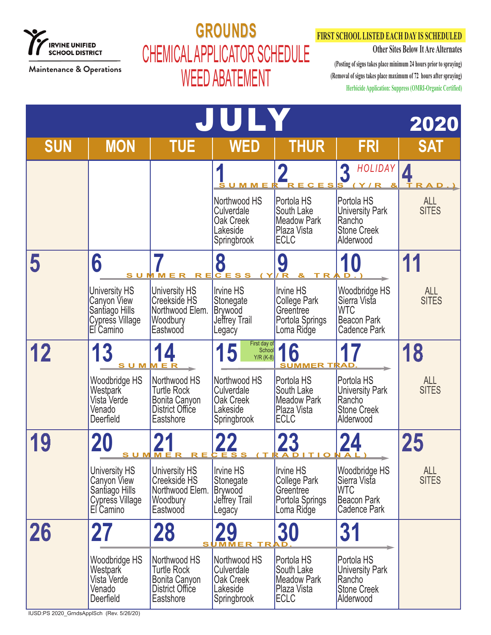

## **GROUNDS GROUNDS** CHEMICAL APPLICATOR SCHEDULE WEED ABATEMENT

### **FIRST SCHOOL LISTED EACH DAY IS SCHEDULED**

**Other Sites Below It Are Alternates**

**(Posting of signs takes place minimum 24 hours prior to spraying) (Removal of signs takes place maximum of 72 hours after spraying) Herbicide Application: Suppress (OMRI-Organic Certified)**

|            |                                                                                              |                                                                                     | JUIY                                                                       |                                                                                       |                                                                                          | 2020                       |
|------------|----------------------------------------------------------------------------------------------|-------------------------------------------------------------------------------------|----------------------------------------------------------------------------|---------------------------------------------------------------------------------------|------------------------------------------------------------------------------------------|----------------------------|
| <b>SUN</b> | <b>MON</b>                                                                                   | <b>TUE</b>                                                                          | <b>WED</b>                                                                 | <b>THUR</b>                                                                           | <b>FRI</b>                                                                               | <b>SAT</b>                 |
|            |                                                                                              |                                                                                     | <u>SUMMER</u>                                                              | RECESS                                                                                | HOLIDAY   1<br>3<br>( Y/R                                                                |                            |
|            |                                                                                              |                                                                                     | Northwood HS<br>Culverdale<br>Oak Creek<br>Lakeside<br>Springbrook         | Portola HS<br>South Lake<br><b>Meadow Park</b><br>Plaza Vista<br><b>ECLC</b>          | Portola HS<br><b>University Park</b><br>Rancho<br><b>Stone Creek</b><br>Alderwood        | <b>ALL</b><br><b>SITES</b> |
|            | 6<br><b>SUMM</b>                                                                             |                                                                                     | 8                                                                          | 9                                                                                     | 10                                                                                       | 11                         |
|            | <b>University HS</b><br>Canyon View<br>Sanṫiago Hills<br><b>Cypress Village</b><br>El Camino | <b>University HS</b><br>Creekside HS<br>Northwood Elem.<br>Woodbury<br>Eastwood     | <b>Irvine HS</b><br>Stonegate<br><b>Brywood</b><br>Jeffrey Trail<br>Legacy | <b>Irvine HS</b><br><b>College Park</b><br>Greentree<br>Portola Springs<br>Loma Ridge | Woodbridge HS<br>Sierra Vista<br><b>WTC</b><br><b>Beacon Park</b><br><b>Cadence Park</b> | <b>ALL</b><br><b>SITES</b> |
| 12         | 13<br><u>SUMMER</u>                                                                          |                                                                                     | First day of<br>5<br>School<br>$Y/R$ (K-8)                                 | 16<br><b>SUMMER TRAD</b>                                                              |                                                                                          | 18                         |
|            | Woodbridge HS<br>Westpark <sup>®</sup><br>Vista Verde<br>Venado<br>Deerfield                 | Northwood HS<br><b>Turtle Rock</b><br>Bonita Canyon<br>District Office<br>Eastshore | Northwood HS<br>Culverdale<br>Oak Creek<br>Lakeside<br>Springbrook         | Portola HS<br>South Lake<br><b>Meadow Park</b><br>Plaza Vista<br><b>ECLC</b>          | Portola HS<br><b>University Park</b><br>Rancho<br><b>Stone Creek</b><br>Alderwood        | <b>ALL</b><br><b>SITES</b> |
|            | 20                                                                                           | <u>SUMMER</u>                                                                       |                                                                            |                                                                                       |                                                                                          | 25                         |
|            | <b>University HS</b><br>Canyon View<br>Santiago Hills<br>Cypress Village<br>El Camino        | <b>University HS</b><br>Creekside HS<br>Northwood Elem.<br>Woodbury<br>Eastwood     | <b>Irvine HS</b><br>Stonegate<br><b>Brywood</b><br>Jeffrey Trail<br>Legacy | Irvine HS<br><b>College Park</b><br>Greentree<br>Portola Springs<br>Loma Ridge        | Woodbridge HS<br>Sierra Vista<br><b>WTC</b><br>Beacon Park<br>Cadence Park               | <b>ALL</b><br><b>SITES</b> |
| 26         | 27                                                                                           | <b>28</b><br>S I                                                                    |                                                                            | 30                                                                                    | 31                                                                                       |                            |
|            | Woodbridge HS<br>Westpark<br>Vista Verde<br>Venado<br>Deerfield                              | Northwood HS<br><b>Turtle Rock</b><br>Bonita Canyon<br>District Office<br>Eastshore | Northwood HS<br>Culverdale<br>Oak Creek<br>Lakeside<br>Springbrook         | Portola HS<br>South Lake<br><b>Meadow Park</b><br>Plaza Vista<br><b>ECLC</b>          | Portola HS<br><b>University Park</b><br>Rancho<br><b>Stone Creek</b><br>Alderwood        |                            |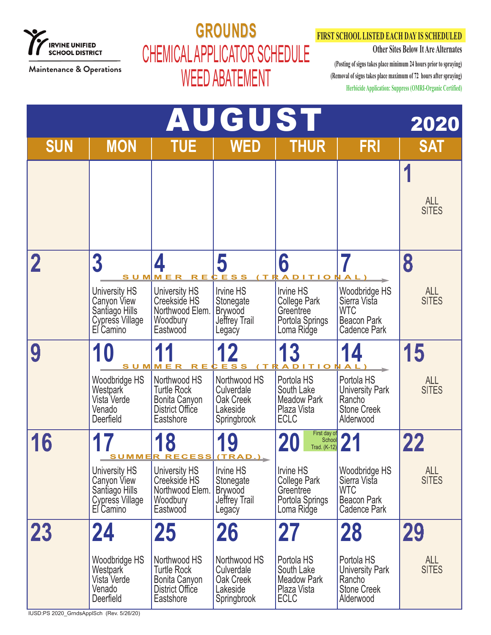

# **GROUNDS GROUNDS** CHEMICAL APPLICATOR SCHEDULE WEED ABATEMENT

### **FIRST SCHOOL LISTED EACH DAY IS SCHEDULED**

**Other Sites Below It Are Alternates**

|                                                | <b>AUGUST</b><br>2020                                                                                                 |                                                                                                                 |                                                                                      |                                                                                                                   |                                                                                                |                                         |  |  |  |
|------------------------------------------------|-----------------------------------------------------------------------------------------------------------------------|-----------------------------------------------------------------------------------------------------------------|--------------------------------------------------------------------------------------|-------------------------------------------------------------------------------------------------------------------|------------------------------------------------------------------------------------------------|-----------------------------------------|--|--|--|
| <b>SUN</b>                                     | <b>MON</b>                                                                                                            | <b>TUE</b>                                                                                                      | <b>WED</b>                                                                           | <b>THUR</b>                                                                                                       | <b>FRI</b>                                                                                     | <b>SAT</b>                              |  |  |  |
|                                                |                                                                                                                       |                                                                                                                 |                                                                                      |                                                                                                                   |                                                                                                | <b>ALL</b><br><b>SITES</b>              |  |  |  |
|                                                | $\overline{3}$<br><b>SUM</b><br><b>University HS</b><br>Canyon View<br>Santiago Hills<br>Cypress Village<br>El Camino | University HS<br>Creekside HS<br>Northwood Elem.<br>Woodbury<br>Eastwood                                        | 5<br>Irvine HS<br>Stonegate<br><b>Brywood</b><br>Jeffrey Trail<br>Legacy             | 6<br><b>Irvine HS</b><br><b>College Park</b><br>Greentree<br>Portola Springs<br>Loma Ridge                        | Woodbridge HS<br>Sierra Vista<br><b>WTC</b><br><b>Beacon Park</b><br><b>Cadence Park</b>       | 8<br><b>ALL</b><br><b>SITES</b>         |  |  |  |
| 9                                              | Woodbridge HS<br>Westpark<br>Vista Verde<br>Venado<br>Deerfield                                                       | <u>SUMMER</u><br>Northwood HS<br><b>Turtle Rock</b><br>Bonita Canyon<br>District Office<br>Eastshore            | E <sub>S</sub><br>Northwood HS<br>Culverdale<br>Oak Creek<br>Lakeside<br>Springbrook | $\boldsymbol{3}$<br>Portola HS<br>South Lake<br><b>Meadow Park</b><br>Plaza Vista<br><b>ECLC</b>                  | Portola HS<br><b>University Park</b><br>Rancho<br><b>Stone Creek</b><br>Alderwood              | 15<br>ALL<br>SITES                      |  |  |  |
| 16                                             | University HS<br>Canyon View<br>Santiago Hills<br><b>Cypress Village</b><br>El Camino                                 | 18<br><u>SUMMER RECESS (TRAD.).</u><br>University HS<br>Creekside HS<br>Northwood Elem.<br>Woodbury<br>Eastwood | 19<br>Irvine HS<br>Stonegate<br><b>Brywood</b><br>Jeffrey Trail<br>Legacy            | First day of<br>School<br>Trad. (K-12)<br>Irvine HS<br>College Park<br>Greentree<br>Portola Springs<br>Loma Ridge | Woodbridge HS<br>Sierra Vista<br><b>WTC</b><br>Beacon Park<br>Cadence Park                     | 22<br><b>ALL</b><br><b>SITES</b>        |  |  |  |
| 23<br>IUSD:PS 2020_GrndsApplSch (Rev. 5/26/20) | 24<br>Woodbridge HS<br><b>Westpark</b><br>Vista Verde<br>Venado<br>Deerfield                                          | <b>25</b><br>Northwood HS<br><b>Turtle Rock</b><br>Bonita Canyon<br>District Office<br>Eastshore                | 26<br>Northwood HS<br>Culverdale<br>Oak Creek<br>Lakeside<br>Springbrook             | 27<br>Portola HS<br>South Lake<br>Meadow Park<br>Plaza Vista<br><b>ECLC</b>                                       | <b>28</b><br>Portola HS<br><b>University Park</b><br>Rancho<br><b>Stone Creek</b><br>Alderwood | <b>29</b><br><b>ALL</b><br><b>SITES</b> |  |  |  |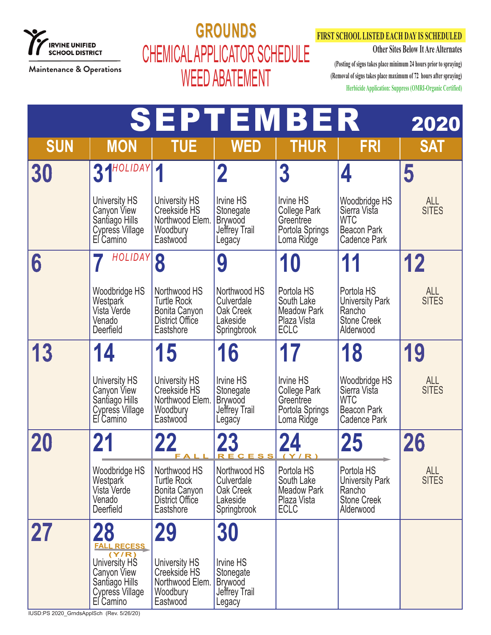

### **GROUNDS GROUNDS** CHEMICAL APPLICATOR SCHEDULE WEED ABATEMENT

### **FIRST SCHOOL LISTED EACH DAY IS SCHEDULED**

**Other Sites Below It Are Alternates**

**(Posting of signs takes place minimum 24 hours prior to spraying) (Removal of signs takes place maximum of 72 hours after spraying) Herbicide Application: Suppress (OMRI-Organic Certified)**

|            |                                                                                                |                                                                                     | <b>SEPTEMBER</b>                                                    |                                                                                       |                                                                                          | 2020                       |
|------------|------------------------------------------------------------------------------------------------|-------------------------------------------------------------------------------------|---------------------------------------------------------------------|---------------------------------------------------------------------------------------|------------------------------------------------------------------------------------------|----------------------------|
| <b>SUN</b> | <b>MON</b>                                                                                     | <b>TUE</b>                                                                          | <b>WED</b>                                                          | <b>THUR</b>                                                                           | <b>FRI</b>                                                                               | <b>SAT</b>                 |
| 30         | $31$ <sup>HOLIDAY</sup> $1$                                                                    |                                                                                     | $\mathbf 2$                                                         | $\boldsymbol{3}$                                                                      | 4                                                                                        | 5                          |
|            | <b>University HS</b><br>Canyon View<br>Santiago Hills<br>Cypress Village<br>El Camino          | University HS<br>Creekside HS<br>Northwood Elem.<br>Woodbury<br>Eastwood            | Irvine HS<br>Stonegate<br><b>Brywood</b><br>Jeffrey Trail<br>Legacy | <b>Irvine HS</b><br><b>College Park</b><br>Greentree<br>Portola Springs<br>Loma Ridge | Woodbridge HS<br>Sierra Vista<br><b>WTC</b><br><b>Beacon Park</b><br>Cadence Park        | <b>ALL</b><br><b>SITES</b> |
| 6          | HOLIDAY                                                                                        | 8                                                                                   | 9                                                                   | 10                                                                                    | 11                                                                                       | 12                         |
|            | Woodbridge HS<br>Westpark<br>Vista Verde<br>Venado<br>Deerfield                                | Northwood HS<br><b>Turtle Rock</b><br>Bonita Canyon<br>District Office<br>Eastshore | Northwood HS<br>Culverdale<br>Oak Creek<br>Lakeside<br>Springbrook  | Portola HS<br>South Lake<br><b>Meadow Park</b><br>Plaza Vista<br><b>ECLC</b>          | Portola HS<br><b>University Park</b><br>Rancho<br><b>Stone Creek</b><br>Alderwood        | <b>ALL</b><br><b>SITES</b> |
| 13         | 14                                                                                             | 15                                                                                  | 16                                                                  |                                                                                       | 18                                                                                       | 19                         |
|            | <b>University HS</b><br>Canyon View<br>Santiago Hills<br>Cypress Village<br>El Camino          | University HS<br>Creekside HS<br>Northwood Elem.<br>Woodbury<br>Eastwood            | Irvine HS<br>Stonegate<br><b>Brywood</b><br>Jeffrey Trail<br>Legacy | <b>Irvine HS</b><br><b>College Park</b><br>Greentree<br>Portola Springs<br>Loma Ridge | Woodbridge HS<br>Sierra Vista<br><b>WTC</b><br><b>Beacon Park</b><br><b>Cadence Park</b> | ALL<br>SITES               |
| 20         | 21                                                                                             |                                                                                     | 23<br>RECESS                                                        | (Y/R)                                                                                 | <b>25</b>                                                                                | 26                         |
|            | Woodbridge HS<br>Westpark<br>Vista Verde<br>Venado<br>Deerfield                                | Northwood HS<br><b>Turtle Rock</b><br>Bonita Canyon<br>District Office<br>Eastshore | Northwood HS<br>Culverdale<br>Oak Creek<br>Lakeside<br>Springbrook  | Portola HS<br>South Lake<br><b>Meadow Park</b><br>Plaza Vista<br><b>ECLC</b>          | Portola HS<br><b>University Park</b><br>Rancho<br><b>Stone Creek</b><br>Alderwood        | <b>ALL</b><br><b>SITES</b> |
| 27         | <b>28</b><br><b>FALL RECESS</b>                                                                | <b>29</b>                                                                           | 30                                                                  |                                                                                       |                                                                                          |                            |
|            | (Y/R)<br>University HS<br>Canyon View<br>Santiago Hills<br><b>Cypress Village</b><br>El Camino | University HS<br>Creekside HS<br>Northwood Elem.<br>Woodbury<br>Eastwood            | Irvine HS<br>Stonegate<br><b>Brywood</b><br>Jeffrey Trail<br>Legacy |                                                                                       |                                                                                          |                            |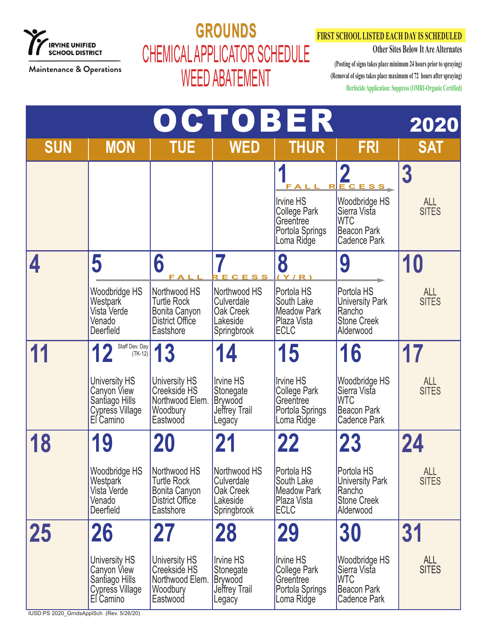

## **GROUNDS GROUNDS** CHEMICAL APPLICATOR SCHEDULE WEED ABATEMENT

### **FIRST SCHOOL LISTED EACH DAY IS SCHEDULED**

**Other Sites Below It Are Alternates**

**(Posting of signs takes place minimum 24 hours prior to spraying) (Removal of signs takes place maximum of 72 hours after spraying) Herbicide Application: Suppress (OMRI-Organic Certified)**

| OCTOBER    |                                                                                       |                                                                                            |                                                                            |                                                                                |                                                                                                                       |                                 |  |
|------------|---------------------------------------------------------------------------------------|--------------------------------------------------------------------------------------------|----------------------------------------------------------------------------|--------------------------------------------------------------------------------|-----------------------------------------------------------------------------------------------------------------------|---------------------------------|--|
| <b>SUN</b> | <b>MON</b>                                                                            | <b>TUE</b>                                                                                 | <b>WED</b>                                                                 | <b>THUR</b>                                                                    | <b>FRI</b>                                                                                                            | <b>SAT</b>                      |  |
|            |                                                                                       |                                                                                            |                                                                            | Rl<br>Irvine HS<br>College Park<br>Greentree<br>Portola Springs<br>Loma Ridge  | $\boldsymbol{O}$<br>ECESS<br>Woodbridge HS<br>Sierra Vista<br><b>WTC</b><br><b>Beacon Park</b><br><b>Cadence Park</b> | 3<br><b>ALL</b><br><b>SITES</b> |  |
|            | 5                                                                                     | 6                                                                                          | P E C                                                                      | 8<br>(Y/R)                                                                     | 9                                                                                                                     | 10                              |  |
|            | Woodbridge HS<br>Westpark <sup>7</sup><br>Vista Verde<br>Venado<br>Deerfield          | Northwood HS<br><b>Turtle Rock</b><br>Bonita Canyon<br>District Office<br>Eastshore        | Northwood HS<br>Culverdale<br>Oak Creek<br>Lakeside<br>Springbrook         | Portola HS<br>South Lake<br><b>Meadow Park</b><br>Plaza Vista<br><b>ECLC</b>   | Portola HS<br><b>University Park</b><br>Rancho<br><b>Stone Creek</b><br>Alderwood                                     | <b>ALL</b><br><b>SITES</b>      |  |
|            | Staff Dev. Day<br>$(TK-12)$                                                           | 13                                                                                         | 14                                                                         | 15                                                                             | 16                                                                                                                    |                                 |  |
|            | <b>University HS</b><br>Canyon View<br>Santiago Hills<br>Cypress Village<br>El Camino | University HS<br>Creekside HS<br>Northwood Elem.<br>Woodbury<br>Eastwood                   | <b>Irvine HS</b><br>Stonegate<br><b>Brywood</b><br>Jeffrey Trail<br>Legacy | <b>Irvine HS</b><br>College Park<br>Greentree<br>Portola Springs<br>Loma Ridge | Woodbridge HS<br>Sierra Vista<br><b>WTC</b><br><b>Beacon Park</b><br>Cadence Park                                     | ALL<br>SITES                    |  |
| 18         | 9                                                                                     |                                                                                            | 21                                                                         | 22                                                                             | 23                                                                                                                    | 24                              |  |
|            | Woodbridge HS<br>Westpark<br>Vista Verde<br>Venado<br>Deerfield                       | Northwood HS<br><b>Turtle Rock</b><br>Bonita Canyon<br><b>District Office</b><br>Eastshore | Northwood HS<br>Culverdale<br>Oak Creek<br>Lakeside<br>Springbrook         | Portola HS<br>South Lake<br>Meadow Park<br>Plaza Vista<br><b>ECLC</b>          | Portola HS<br>University Park<br>Rancho<br><b>Stone Creek</b><br>Alderwood                                            | ALL<br>SITES                    |  |
| 25         | 26                                                                                    | 27                                                                                         | <b>28</b>                                                                  | 29                                                                             | 30                                                                                                                    | 31                              |  |
|            | University HS<br>Canyon View<br>Santiago Hills<br>Cypress Village<br>El Camino        | University HS<br>Creekside HS<br>Northwood Elem.<br>Woodbury<br>Eastwood                   | Irvine HS<br>Stonegate<br><b>Brywood</b><br>Jeffrey Trail<br>Legacy        | Irvine HS<br>College Park<br>Greentree<br>Portola Springs<br>Loma Ridge        | Woodbridge HS<br>Sierra Vista<br><b>WTC</b><br><b>Beacon Park</b><br>Cadence Park                                     | <b>ALL</b><br><b>SITES</b>      |  |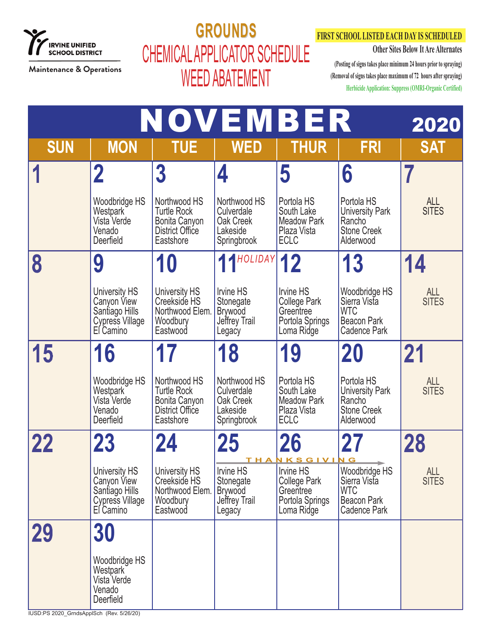

### **GROUNDS GROUNDS** CHEMICAL APPLICATOR SCHEDULE WEED ABATEMENT

#### **FIRST SCHOOL LISTED EACH DAY IS SCHEDULED**

**Other Sites Below It Are Alternates**

|                                          |                                                                                       |                                                                                     | NOVEMBER                                                            |                                                                                |                                                                                          | 2020                       |
|------------------------------------------|---------------------------------------------------------------------------------------|-------------------------------------------------------------------------------------|---------------------------------------------------------------------|--------------------------------------------------------------------------------|------------------------------------------------------------------------------------------|----------------------------|
| <b>SUN</b>                               | <b>MON</b>                                                                            | <b>TUE</b>                                                                          | <b>WED</b>                                                          | <b>THUR</b>                                                                    | <b>FRI</b>                                                                               | <b>SAT</b>                 |
|                                          | $\mathbf 2$                                                                           | $\overline{3}$                                                                      | 4                                                                   | 5                                                                              | 6                                                                                        |                            |
|                                          | Woodbridge HS<br>Westpark<br>Vista Verde<br>Venado<br>Deerfield                       | Northwood HS<br><b>Turtle Rock</b><br>Bonita Canyon<br>District Office<br>Eastshore | Northwood HS<br>Culverdale<br>Oak Creek<br>Lakeside<br>Springbrook  | Portola HS<br>South Lake<br><b>Meadow Park</b><br>Plaza Vista<br><b>ECLC</b>   | Portola HS<br>University Park<br>Rancho<br><b>Stone Creek</b><br>Alderwood               | ALL<br>SITES               |
|                                          | 9                                                                                     | <b>10</b>                                                                           | 11HOLIDAY                                                           | 12                                                                             | 13                                                                                       | 14                         |
|                                          | University HS<br>Canyon View<br>Santiago Hills<br>Cypress Village<br>El Camino        | University HS<br>Creekside HS<br>Northwood Elem.<br>Woodbury<br>Eastwood            | Irvine HS<br>Stonegate<br><b>Brywood</b><br>Jeffrey Trail<br>Legacy | Irvine HS<br><b>College Park</b><br>Greentree<br>Portola Springs<br>Loma Ridge | Woodbridge HS<br>Sierra Vista<br><b>WTC</b><br><b>Beacon Park</b><br><b>Cadence Park</b> | ALL<br>SITES               |
| 15                                       | 16                                                                                    |                                                                                     | 18                                                                  | 19                                                                             | 20                                                                                       | 21                         |
|                                          | Woodbridge HS<br>Westpark<br>Vista Verde<br>Venado<br>Deerfield                       | Northwood HS<br><b>Turtle Rock</b><br>Bonita Canyon<br>District Office<br>Eastshore | Northwood HS<br>Culverdale<br>Oak Creek<br>Lakeside<br>Springbrook  | Portola HS<br>South Lake<br><b>Meadow Park</b><br>Plaza Vista<br><b>ECLC</b>   | Portola HS<br><b>University Park</b><br>Rancho<br><b>Stone Creek</b><br>Alderwood        | ALL<br><b>SITES</b>        |
| 22                                       | 23                                                                                    | 24                                                                                  | 25                                                                  | 26<br>THANKSGIVING                                                             |                                                                                          | 28                         |
|                                          | University HS<br>Canyon View<br>Santiago Hills<br><b>Cypress Village</b><br>El Camino | University HS<br>Creekside HS<br>Northwood Elem.<br>Woodbury<br>Eastwood            | Irvine HS<br>Stonegate<br><b>Brywood</b><br>Jeffrey Trail<br>Legacy | Irvine HS<br>College Park<br>Greentree<br>Portola Springs<br>Loma Ridge        | Woodbridge HS<br>Sierra Vista<br><b>WTC</b><br><b>Beacon Park</b><br>Cadence Park        | <b>ALL</b><br><b>SITES</b> |
| <b>29</b>                                | 30                                                                                    |                                                                                     |                                                                     |                                                                                |                                                                                          |                            |
| IUSD:PS 2020_GrndsApplSch (Rev. 5/26/20) | Woodbridge HS<br>Westpark<br>Vista Verde<br>Venado<br>Deerfield                       |                                                                                     |                                                                     |                                                                                |                                                                                          |                            |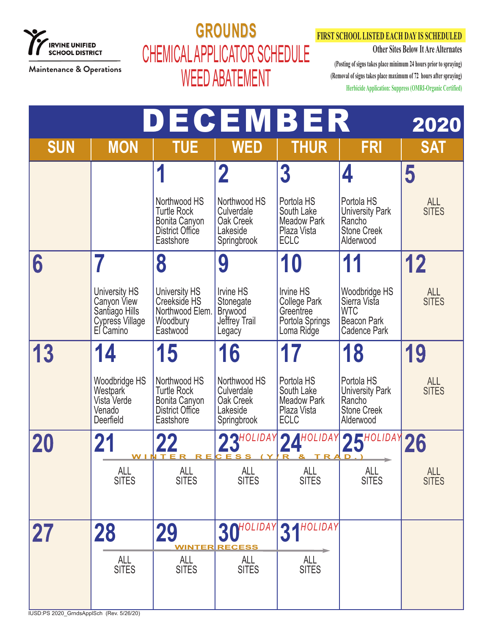

## **GROUNDS GROUNDS** CHEMICAL APPLICATOR SCHEDULE WEED ABATEMENT

### **FIRST SCHOOL LISTED EACH DAY IS SCHEDULED**

**Other Sites Below It Are Alternates**

|            |                                                                                       |                                                                                     | DECEMBER                                                            |                                                                                |                                                                                          | 2020                       |
|------------|---------------------------------------------------------------------------------------|-------------------------------------------------------------------------------------|---------------------------------------------------------------------|--------------------------------------------------------------------------------|------------------------------------------------------------------------------------------|----------------------------|
| <b>SUN</b> | <b>MON</b>                                                                            | <b>TUE</b>                                                                          | <b>WED</b>                                                          | <b>THUR</b>                                                                    | <b>FRI</b>                                                                               | <b>SAT</b>                 |
|            |                                                                                       | 1                                                                                   | $\overline{\mathbf{2}}$                                             | 3                                                                              | 4                                                                                        | 5                          |
|            |                                                                                       | Northwood HS<br><b>Turtle Rock</b><br>Bonita Canyon<br>District Office<br>Eastshore | Northwood HS<br>Culverdale<br>Oak Creek<br>Lakeside<br>Springbrook  | Portola HS<br>South Lake<br><b>Meadow Park</b><br>Plaza Vista<br><b>ECLC</b>   | Portola HS<br><b>University Park</b><br>Rancho<br><b>Stone Creek</b><br>Alderwood        | <b>ALL</b><br><b>SITES</b> |
| 6          |                                                                                       | 8                                                                                   | 9                                                                   | 10                                                                             | 11                                                                                       | 12                         |
|            | University HS<br>Canyon View<br>Santiago Hills<br><b>Cypress Village</b><br>El Camino | University HS<br>Creekside HS<br>Northwood Elem.<br>Woodbury<br>Eastwood            | Irvine HS<br>Stonegate<br><b>Brywood</b><br>Jeffrey Trail<br>Legacy | Irvine HS<br><b>College Park</b><br>Greentree<br>Portola Springs<br>Loma Ridge | Woodbridge HS<br>Sierra Vista<br><b>WTC</b><br><b>Beacon Park</b><br><b>Cadence Park</b> | ALL<br>SITES               |
| 13         | 14                                                                                    | 15                                                                                  | 16                                                                  |                                                                                | 18                                                                                       | 19                         |
|            | Woodbridge HS<br>Westpark<br>Vista Verde<br>Venado<br>Deerfield                       | Northwood HS<br><b>Turtle Rock</b><br>Bonita Canyon<br>District Office<br>Eastshore | Northwood HS<br>Culverdale<br>Oak Creek<br>Lakeside<br>Springbrook  | Portola HS<br>South Lake<br><b>Meadow Park</b><br>Plaza Vista<br><b>ECLC</b>   | Portola HS<br><b>University Park</b><br>Rancho<br><b>Stone Creek</b><br>Alderwood        | ALL<br>SITES               |
|            |                                                                                       | WINTER<br>R E                                                                       | 23HOLIDAY<br>CESS                                                   | <b>2 A</b> HOLIDAY<br>R<br>$T$ R                                               | $25^{\text{HOLIDAY}}$<br>D                                                               |                            |
|            | ALL<br>SITES                                                                          | ALL<br>SITES                                                                        | ALL<br>SITES                                                        | ALL<br>SITES                                                                   | ALL<br><b>SITES</b>                                                                      | ALL<br>SITES               |
| <b>27</b>  | 28                                                                                    | 29                                                                                  | 30HOLIDAY                                                           | 31HOLIDAY                                                                      |                                                                                          |                            |
|            | <b>ALL</b><br><b>SITES</b>                                                            | <b>WINTER</b><br>ALL<br><b>SITES</b>                                                | <b>RECESS</b><br>ALL<br><b>SITES</b>                                | <b>ALL</b><br><b>SITES</b>                                                     |                                                                                          |                            |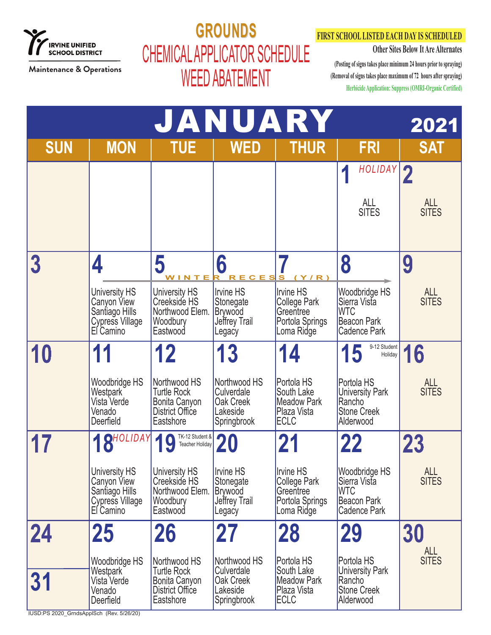

# **GROUNDS GROUNDS** CHEMICAL APPLICATOR SCHEDULE WEED ABATEMENT

### **FIRST SCHOOL LISTED EACH DAY IS SCHEDULED**

**Other Sites Below It Are Alternates**

| JANUARY<br>2021                                |                                                                                       |                                                                                           |                                                                                      |                                                                                        |                                                                                                 |                            |  |  |
|------------------------------------------------|---------------------------------------------------------------------------------------|-------------------------------------------------------------------------------------------|--------------------------------------------------------------------------------------|----------------------------------------------------------------------------------------|-------------------------------------------------------------------------------------------------|----------------------------|--|--|
| <b>SUN</b>                                     | <b>MON</b>                                                                            | <b>TUE</b>                                                                                | <b>WED</b>                                                                           | <b>THUR</b>                                                                            | <b>FRI</b>                                                                                      | <b>SAT</b>                 |  |  |
|                                                |                                                                                       |                                                                                           |                                                                                      |                                                                                        | HOLIDAY<br>И                                                                                    | $\mathbf 2$                |  |  |
|                                                |                                                                                       |                                                                                           |                                                                                      |                                                                                        | ALL<br><b>SITES</b>                                                                             | <b>ALL</b><br><b>SITES</b> |  |  |
|                                                | 4                                                                                     | 5                                                                                         | 6                                                                                    |                                                                                        | 8                                                                                               | 9                          |  |  |
|                                                | <b>University HS</b><br>Canyon View<br>Santiago Hills<br>Cypress Village<br>El Camino | <u>WINTER</u><br>University HS<br>Creekside HS<br>Northwood Elem.<br>Woodbury<br>Eastwood | <u>RECESS</u><br>Irvine HS<br>Stonegate<br><b>Brywood</b><br>Jeffrey Trail<br>Legacy | Y/R)<br>Irvine HS<br><b>College Park</b><br>Greentree<br>Portola Springs<br>Loma Ridge | Woodbridge HS<br>Sierra Vista<br><b>WTC</b><br><b>Beacon Park</b><br><b>Cadence Park</b>        | <b>ALL</b><br><b>SITES</b> |  |  |
| 10                                             |                                                                                       | 12                                                                                        | 13                                                                                   | 14                                                                                     | 9-12 Student<br>15<br>Holiday                                                                   | 16                         |  |  |
|                                                | Woodbridge HS<br>Westpark<br>Vista Verde<br>Venado<br>Deerfield                       | Northwood HS<br><b>Turtle Rock</b><br>Bonita Canyon<br>District Office<br>Eastshore       | Northwood HS<br>Culverdale<br>Oak Creek<br>Lakeside<br>Springbrook                   | Portola HS<br>South Lake<br><b>Meadow Park</b><br>Plaza Vista<br><b>ECLC</b>           | Portola HS<br><b>University Park</b><br>Rancho<br><b>Stone Creek</b><br>Alderwood               | <b>ALL</b><br><b>SITES</b> |  |  |
|                                                | 18HOLIDAY                                                                             | TK-12 Student &<br>Teacher Holiday                                                        | 20                                                                                   | 21                                                                                     | 22                                                                                              | 23                         |  |  |
|                                                | University HS<br>Canyon View<br>Santiago Hills<br>Cypress Village<br>El Camino        | <b>University HS</b><br>Creekside HS<br>Northwood Elem.<br>Woodbury<br>Eastwood           | <b>Irvine HS</b><br>Stonegate<br><b>Brywood</b><br>Jeffrey Trail<br>Legacy           | <b>Irvine HS</b><br>College Park<br>Greentree<br>Portola Springs<br>Loma Ridge         | <b>Woodbridge HS</b><br>Sierra Vista<br><b>WTC</b><br><b>Beacon Park</b><br><b>Cadence Park</b> | <b>ALL</b><br><b>SITES</b> |  |  |
| 24                                             | 25                                                                                    | <b>26</b>                                                                                 | 27                                                                                   | <b>28</b>                                                                              | <b>29</b>                                                                                       | 30                         |  |  |
|                                                | Woodbridge HS<br>Westpark                                                             | Northwood HS<br><b>Turtle Rock</b>                                                        | Northwood HS<br>Culverdale                                                           | Portola HS<br>South Lake                                                               | Portola HS<br><b>University Park</b>                                                            | <b>ALL</b><br><b>SITES</b> |  |  |
| 31<br>IUSD:PS 2020_GrndsApplSch (Rev. 5/26/20) | Vista Verde<br>Venado<br>Deerfield                                                    | Bonita Canyon<br>District Office<br>Eastshore                                             | Oak Creek<br>Lakeside<br>Springbrook                                                 | <b>Meadow Park</b><br>Plaza Vista<br><b>ECLC</b>                                       | Rancho<br><b>Stone Creek</b><br>Alderwood                                                       |                            |  |  |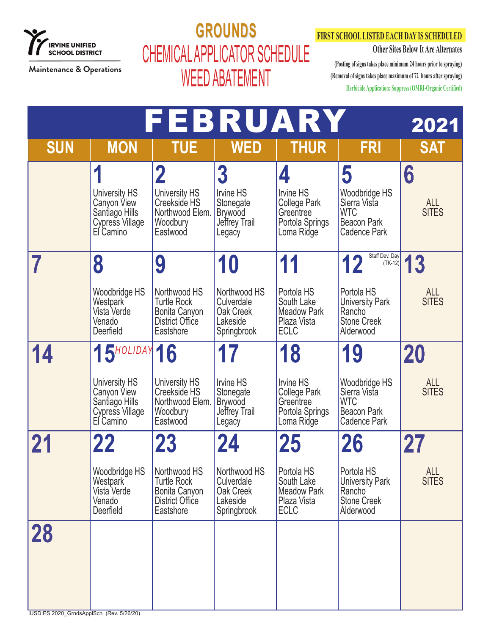

## **GROUNDS GROUNDS** CHEMICAL APPLICATOR SCHEDULE WEED ABATEMENT

### **FIRST SCHOOL LISTED EACH DAY IS SCHEDULED**

**Other Sites Below It Are Alternates**

|                                                |                                                                                                                  | FEBRUARY                                                                                         |                                                                                              |                                                                                            |                                                                                                                        | 2021                             |
|------------------------------------------------|------------------------------------------------------------------------------------------------------------------|--------------------------------------------------------------------------------------------------|----------------------------------------------------------------------------------------------|--------------------------------------------------------------------------------------------|------------------------------------------------------------------------------------------------------------------------|----------------------------------|
| <b>SUN</b>                                     | <b>MON</b>                                                                                                       | <b>TUE</b>                                                                                       | <b>WED</b>                                                                                   | <b>THUR</b>                                                                                | <b>FRI</b>                                                                                                             | <b>SAT</b>                       |
|                                                | $\overline{\mathbf{A}}$<br><b>University HS</b><br>Canyon View<br>Santiago Hills<br>Cypress Village<br>El Camino | $\mathbf 2$<br>University HS<br>Creekside HS<br>Northwood Elem.<br>Woodbury<br>Eastwood          | $\overline{3}$<br><b>Irvine HS</b><br>Stonegate<br><b>Brywood</b><br>Jeffrey Trail<br>Legacy | 4<br><b>Irvine HS</b><br><b>College Park</b><br>Greentree<br>Portola Springs<br>Loma Ridge | 5<br>Woodbridge HS<br>Sierra Vista<br><b>WTC</b><br><b>Beacon Park</b><br><b>Cadence Park</b>                          | 6<br>ALL<br>SITES                |
|                                                | 8<br>Woodbridge HS<br>Westpark<br>Vista Verde<br>Venado<br>Deerfield                                             | 9<br>Northwood HS<br><b>Turtle Rock</b><br>Bonita Canyon<br>District Office<br>Eastshore         | 10<br>Northwood HS<br>Culverdale<br>Oak Creek<br>Lakeside<br>Springbrook                     | 11<br>Portola HS<br>South Lake<br><b>Meadow Park</b><br>Plaza Vista<br><b>ECLC</b>         | Staff Dev. Day<br>12<br>$(TK-12)$<br>Portola HS<br><b>University Park</b><br>Rancho<br><b>Stone Creek</b><br>Alderwood | 13<br><b>ALL</b><br><b>SITES</b> |
| 14                                             | 15 <sup>HOLIDAY</sup> 16<br>University HS<br>Canyon View<br>Santiago Hills<br>Cypress Village<br>El Camino       | University HS<br>Creekside HS<br>Northwood Elem.<br>Woodbury<br>Eastwood                         | 17<br>Irvine HS<br>Stonegate<br><b>Brywood</b><br>Jeffrey Trail<br>Legacy                    | 18<br>Irvine HS<br><b>College Park</b><br>Greentree<br>Portola Springs<br>Loma Ridge       | 19<br>Woodbridge HS<br>Sierra Vista<br><b>WTC</b><br><b>Beacon Park</b><br>Cadence Park                                | 20<br><b>ALL</b><br><b>SITES</b> |
|                                                | 22<br>Woodbridge HS<br>Westpark<br>Vista Verde<br>Venado<br>Deerfield                                            | <b>23</b><br>Northwood HS<br><b>Turtle Rock</b><br>Bonita Canyon<br>District Office<br>Eastshore | 24<br>Northwood HS<br>Culverdale<br>Oak Creek<br>Lakeside<br>Springbrook                     | 25<br>Portola HS<br>South Lake<br><b>Meadow Park</b><br>Plaza Vista<br><b>ECLC</b>         | 26<br>Portola HS<br><b>University Park</b><br>Rancho<br><b>Stone Creek</b><br>Alderwood                                | 27<br><b>ALL</b><br><b>SITES</b> |
| 28<br>IUSD:PS 2020_GrndsApplSch (Rev. 5/26/20) |                                                                                                                  |                                                                                                  |                                                                                              |                                                                                            |                                                                                                                        |                                  |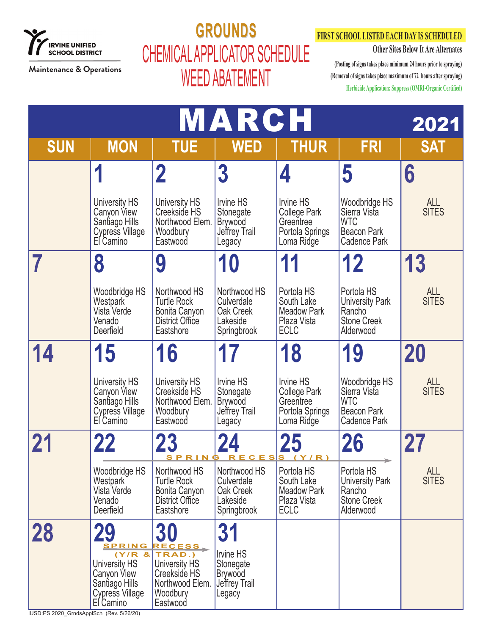

# **GROUNDS GROUNDS** CHEMICAL APPLICATOR SCHEDULE WEED ABATEMENT

### **FIRST SCHOOL LISTED EACH DAY IS SCHEDULED**

**Other Sites Below It Are Alternates**

|                                                |                                                                                                |                                                                                                                            | MARCH                                                                      |                                                                                       |                                                                                          | 2021                       |
|------------------------------------------------|------------------------------------------------------------------------------------------------|----------------------------------------------------------------------------------------------------------------------------|----------------------------------------------------------------------------|---------------------------------------------------------------------------------------|------------------------------------------------------------------------------------------|----------------------------|
| <b>SUN</b>                                     | <b>MON</b>                                                                                     | <b>TUE</b>                                                                                                                 | <b>WED</b>                                                                 | <b>THUR</b>                                                                           | <b>FRI</b>                                                                               | <b>SAT</b>                 |
|                                                | 1                                                                                              | 2                                                                                                                          | $\overline{3}$                                                             | 4                                                                                     | 5                                                                                        | 6                          |
|                                                | <b>University HS</b><br>Canyon View<br>Santiago Hills<br>Cypress Village<br>El Camino          | <b>University HS</b><br>Creekside HS<br>Northwood Elem.<br>Woodbury<br>Eastwood                                            | <b>Irvine HS</b><br>Stonegate<br><b>Brywood</b><br>Jeffrey Trail<br>Legacy | <b>Irvine HS</b><br>College Park<br>Greentree<br>Portola Springs<br>Loma Ridge        | Woodbridge HS<br>Sierra Vista<br><b>WTC</b><br><b>Beacon Park</b><br><b>Cadence Park</b> | ALL<br><b>SITES</b>        |
|                                                | 8                                                                                              | 9                                                                                                                          | <b>10</b>                                                                  | 11                                                                                    | 12                                                                                       | 13                         |
|                                                | Woodbridge HS<br>Westpark<br>Vista Verde<br>Venado<br>Deerfield                                | Northwood HS<br><b>Turtle Rock</b><br>Bonita Canyon<br>District Office<br>Eastshore                                        | Northwood HS<br>Culverdale<br>Oak Creek<br>Lakeside<br>Springbrook         | Portola HS<br>South Lake<br><b>Meadow Park</b><br>Plaza Vista<br><b>ECLC</b>          | Portola HS<br><b>University Park</b><br>Rancho<br><b>Stone Creek</b><br>Alderwood        | ALL<br>SITES               |
|                                                | 15                                                                                             | 16                                                                                                                         |                                                                            | 18                                                                                    | 19                                                                                       | 20                         |
|                                                | <b>University HS</b><br>Canyon View<br>Santiago Hills<br>Cypress Village<br>El Camino          | University HS<br>Creekside HS<br>Northwood Elem.<br>Woodbury<br>Eastwood                                                   | Irvine HS<br>Stonegate<br><b>Brywood</b><br>Jeffrey Trail<br>Legacy        | <b>Irvine HS</b><br><b>College Park</b><br>Greentree<br>Portola Springs<br>Loma Ridge | Woodbridge HS<br>Sierra Vista<br><b>WTC</b><br><b>Beacon Park</b><br>Cadence Park        | ALL<br><b>SITES</b>        |
|                                                | 22                                                                                             |                                                                                                                            | <u>SPRING RECESS (Y/R)</u>                                                 | 25                                                                                    | <b>26</b>                                                                                | 27                         |
|                                                | Woodbridge HS<br>Westpark<br>Vista Verde<br>Venado<br>Deerfield                                | Northwood HS<br><b>Turtle Rock</b><br>Bonita Canyon<br><b>District Office</b><br>Eastshore                                 | Northwood HS<br>Culverdale<br>Oak Creek<br>Lakeside<br>Springbrook         | Portola HS<br>South Lake<br><b>Meadow Park</b><br>Plaza Vista<br><b>ECLC</b>          | Portola HS<br><b>University Park</b><br>Rancho<br><b>Stone Creek</b><br>Alderwood        | <b>ALL</b><br><b>SITES</b> |
| 28<br>IUSD:PS 2020 GrndsApplSch (Rev. 5/26/20) | 29<br>SPRING<br>University HS<br>Canyon View<br>Santiago Hills<br>Cypress Village<br>El Camino | <b>30</b><br>RECESS,<br>(Y/R 8   TRAD.)<br><b>University HS</b><br>Creekside HS<br>Northwood Elem.<br>Woodbury<br>Eastwood | <b>31</b><br>Irvine HS<br>Stonegate<br>Brywood<br>Jeffrey Trail<br>Legacy  |                                                                                       |                                                                                          |                            |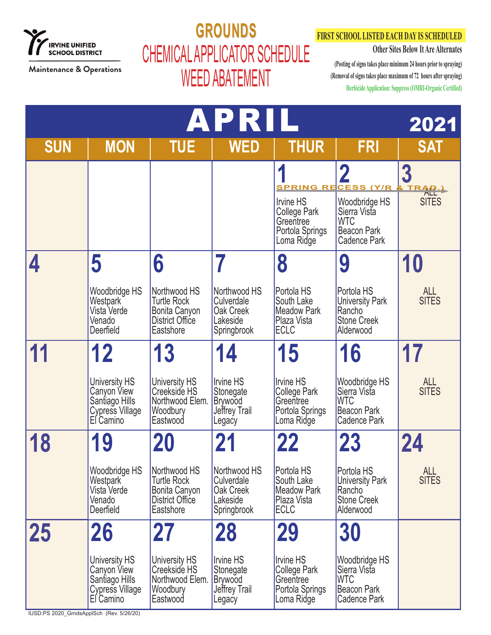

## **GROUNDS GROUNDS** CHEMICAL APPLICATOR SCHEDULE WEED ABATEMENT

### **FIRST SCHOOL LISTED EACH DAY IS SCHEDULED**

**Other Sites Below It Are Alternates**

|                                          |                                                                                |                                                                                     | APRIL                                                                      |                                                                                       |                                                                                          | 2021                       |
|------------------------------------------|--------------------------------------------------------------------------------|-------------------------------------------------------------------------------------|----------------------------------------------------------------------------|---------------------------------------------------------------------------------------|------------------------------------------------------------------------------------------|----------------------------|
| <b>SUN</b>                               | <b>MON</b>                                                                     | <b>TUE</b>                                                                          | <b>WED</b>                                                                 | <b>THUR</b>                                                                           | <b>FRI</b>                                                                               | <b>SAT</b>                 |
|                                          |                                                                                |                                                                                     |                                                                            |                                                                                       | 2<br><u>SPRING RECESS (Y/R</u>                                                           | 3<br>& TRAD.               |
|                                          |                                                                                |                                                                                     |                                                                            | <b>Irvine HS</b><br><b>College Park</b><br>Greentree<br>Portola Springs<br>Loma Ridge | Woodbridge HS<br>Sierra Vista<br><b>WTC</b><br><b>Beacon Park</b><br><b>Cadence Park</b> | <b>SITES</b>               |
|                                          | 5                                                                              | 6                                                                                   |                                                                            | 8                                                                                     | 9                                                                                        | 10                         |
|                                          | Woodbridge HS<br>Westpark<br>Vista Verde<br>Venado<br>Deerfield                | Northwood HS<br><b>Turtle Rock</b><br>Bonita Canyon<br>District Office<br>Eastshore | Northwood HS<br>Culverdale<br>Oak Creek<br>Lakeside<br>Springbrook         | Portola HS<br>South Lake<br><b>Meadow Park</b><br>Plaza Vista<br><b>ECLC</b>          | Portola HS<br><b>University Park</b><br>Rancho<br><b>Stone Creek</b><br>Alderwood        | <b>ALL</b><br><b>SITES</b> |
|                                          | 12                                                                             | 13                                                                                  | 14                                                                         | 15                                                                                    | 16                                                                                       |                            |
|                                          | University HS<br>Canyon View<br>Santiago Hills<br>Cypress Village<br>El Camino | <b>University HS</b><br>Creekside HS<br>Northwood Elem.<br>Woodbury<br>Eastwood     | <b>Irvine HS</b><br>Stonegate<br><b>Brywood</b><br>Jeffrey Trail<br>Legacy | <b>Irvine HS</b><br><b>College Park</b><br>Greentree<br>Portola Springs<br>Loma Ridge | Woodbridge HS<br>Sierra Vista<br><b>WTC</b><br>Beacon Park<br><b>Cadence Park</b>        | <b>ALL</b><br><b>SITES</b> |
| 18                                       | 19                                                                             |                                                                                     |                                                                            | 22                                                                                    | <b>23</b>                                                                                | 24                         |
|                                          | Woodbridge HS<br>Westpark<br>Vista Verde<br>Venado<br>Deerfield                | Northwood HS<br><b>Turtle Rock</b><br>Bonita Canyon<br>District Office<br>Eastshore | Northwood HS<br>Culverdale<br>Oak Creek<br>Lakeside<br>Springbrook         | Portola HS<br>South Lake<br><b>Meadow Park</b><br>Plaza Vista<br><b>ECLC</b>          | Portola HS<br><b>University Park</b><br>Rancho<br><b>Stone Creek</b><br>Alderwood        | <b>ALL</b><br><b>SITES</b> |
| 25                                       | 26                                                                             | 27                                                                                  | <b>28</b>                                                                  | <b>29</b>                                                                             | 30                                                                                       |                            |
| IUSD:PS 2020_GrndsApplSch (Rev. 5/26/20) | University HS<br>Canyon View<br>Santiago Hills<br>Cypress Village<br>El Camino | University HS<br>Creekside HS<br>Northwood Elem.<br>Woodbury<br>Eastwood            | Irvine HS<br>Stonegate<br><b>Brywood</b><br>Jeffrey Trail<br>Legacy        | <b>Irvine HS</b><br>College Park<br>Greentree<br>Portola Springs<br>Loma Ridge        | Woodbridge HS<br>Sierra Vista<br><b>WTC</b><br>Beacon Park<br>Cadence Park               |                            |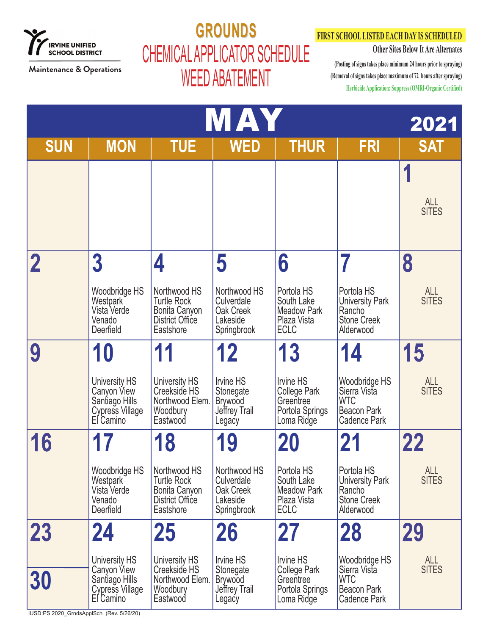

## **GROUNDS GROUNDS** CHEMICAL APPLICATOR SCHEDULE WEED ABATEMENT

### **FIRST SCHOOL LISTED EACH DAY IS SCHEDULED**

**Other Sites Below It Are Alternates**

**(Posting of signs takes place minimum 24 hours prior to spraying) (Removal of signs takes place maximum of 72 hours after spraying) Herbicide Application: Suppress (OMRI-Organic Certified)**

| <b>NAY</b><br>2021 |                                                                                |                                                                                     |                                                                     |                                                                                |                                                                                   |                            |  |
|--------------------|--------------------------------------------------------------------------------|-------------------------------------------------------------------------------------|---------------------------------------------------------------------|--------------------------------------------------------------------------------|-----------------------------------------------------------------------------------|----------------------------|--|
| <b>SUN</b>         | <b>MON</b>                                                                     | <b>TUE</b>                                                                          | <b>WED</b>                                                          | <b>THUR</b>                                                                    | <b>FRI</b>                                                                        | <b>SAT</b>                 |  |
|                    |                                                                                |                                                                                     |                                                                     |                                                                                |                                                                                   | <b>ALL</b><br><b>SITES</b> |  |
|                    | $\overline{3}$                                                                 |                                                                                     | 5                                                                   | 6                                                                              |                                                                                   | 8                          |  |
|                    | Woodbridge HS<br>Westpark<br>Vista Verde<br>Venado<br>Deerfield                | Northwood HS<br><b>Turtle Rock</b><br>Bonita Canyon<br>District Office<br>Eastshore | Northwood HS<br>Culverdale<br>Oak Creek<br>Lakeside<br>Springbrook  | Portola HS<br>South Lake<br><b>Meadow Park</b><br>Plaza Vista<br><b>ECLC</b>   | Portola HS<br><b>University Park</b><br>Rancho<br><b>Stone Creek</b><br>Alderwood | <b>ALL</b><br><b>SITES</b> |  |
|                    | 10                                                                             | 11                                                                                  | 12                                                                  | 13                                                                             | 14                                                                                | 15                         |  |
|                    | University HS<br>Canyon View<br>Santiago Hills<br>Cypress Village<br>El Camino | University HS<br>Creekside HS<br>Northwood Elem.<br>Woodbury<br>Eastwood            | Irvine HS<br>Stonegate<br><b>Brywood</b><br>Jeffrey Trail<br>Legacy | <b>Irvine HS</b><br>College Park<br>Greentree<br>Portola Springs<br>Loma Ridge | Woodbridge HS<br>Sierra Vista<br><b>WTC</b><br><b>Beacon Park</b><br>Cadence Park | <b>ALL</b><br><b>SITES</b> |  |
| 16                 |                                                                                | <b>18</b>                                                                           | 19                                                                  | 20                                                                             | 21                                                                                | 22                         |  |
|                    | Woodbridge HS<br>Westpark<br>Vista Verde<br>Venado<br>Deerfield                | Northwood HS<br><b>Turtle Rock</b><br>Bonita Canyon<br>District Office<br>Eastshore | Northwood HS<br>Culverdale<br>Oak Creek<br>Lakeside<br>Springbrook  | Portola HS<br>South Lake<br><b>Meadow Park</b><br>Plaza Vista<br><b>ECLC</b>   | Portola HS<br><b>University Park</b><br>Rancho<br><b>Stone Creek</b><br>Alderwood | <b>ALL</b><br><b>SITES</b> |  |
| 23                 | 24                                                                             | 25                                                                                  | 26                                                                  | 27                                                                             | 28                                                                                | 29                         |  |
| <b>30</b>          | University HS<br>Canyon View<br>Santiago Hills<br>Cypress Village<br>El Camino | University HS<br>Creekside HS<br>Northwood Elem.<br>Woodbury<br>Eastwood            | Irvine HS<br>Stonegate<br><b>Brywood</b><br>Jeffrey Trail<br>Legacy | Irvine HS<br>College Park<br>Greentree<br>Portola Springs<br>Loma Ridge        | Woodbridge HS<br>Sierra Vista<br><b>WTC</b><br><b>Beacon Park</b><br>Cadence Park | <b>ALL</b><br><b>SITES</b> |  |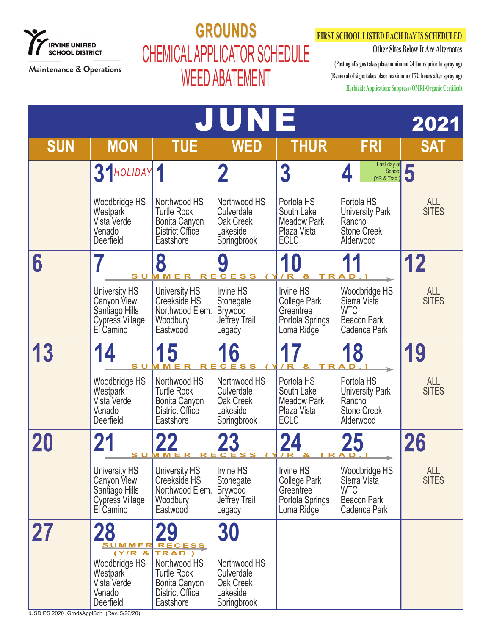

# **GROUNDS GROUNDS** CHEMICAL APPLICATOR SCHEDULE WEED ABATEMENT

### **FIRST SCHOOL LISTED EACH DAY IS SCHEDULED**

**Other Sites Below It Are Alternates**

**(Posting of signs takes place minimum 24 hours prior to spraying) (Removal of signs takes place maximum of 72 hours after spraying) Herbicide Application: Suppress (OMRI-Organic Certified)**

|                                         |                                                                                |                                                                                     | JUNE                                                                |                                                                                       |                                                                                          | 2021                       |
|-----------------------------------------|--------------------------------------------------------------------------------|-------------------------------------------------------------------------------------|---------------------------------------------------------------------|---------------------------------------------------------------------------------------|------------------------------------------------------------------------------------------|----------------------------|
| <b>SUN</b>                              | <b>MON</b>                                                                     | <b>TUE</b>                                                                          | <b>WED</b>                                                          | <b>THUR</b>                                                                           | <b>FRI</b>                                                                               | <b>SAT</b>                 |
|                                         | 31HOLIDAY 1                                                                    |                                                                                     | $\overline{\mathbf{2}}$                                             | $\boldsymbol{3}$                                                                      | Last day of<br>School<br>4<br>(YR & Trad.)                                               |                            |
|                                         | Woodbridge HS<br>Westpark<br>Vista Verde<br>Venado<br>Deerfield                | Northwood HS<br><b>Turtle Rock</b><br>Bonita Canyon<br>District Office<br>Eastshore | Northwood HS<br>Culverdale<br>Oak Creek<br>Lakeside<br>Springbrook  | Portola HS<br>South Lake<br><b>Meadow Park</b><br>Plaza Vista<br>ECLC                 | Portola HS<br><b>University Park</b><br>Rancho<br><b>Stone Creek</b><br>Alderwood        | <b>ALL</b><br><b>SITES</b> |
| 6                                       | s u M m                                                                        | 8                                                                                   | 9                                                                   |                                                                                       | 11                                                                                       | 12                         |
|                                         | University HS<br>Canyon View<br>Santiago Hills<br>Cypress Village<br>El Camino | University HS<br>Creekside HS<br>Northwood Elem.<br>Woodbury<br>Eastwood            | Irvine HS<br>Stonegate<br><b>Brywood</b><br>Jeffrey Trail<br>Legacy | <b>Irvine HS</b><br><b>College Park</b><br>Greentree<br>Portola Springs<br>Loma Ridge | Woodbridge HS<br>Sierra Vista<br><b>WTC</b><br><b>Beacon Park</b><br><b>Cadence Park</b> | <b>ALL</b><br><b>SITES</b> |
| 13                                      | 14<br>s u                                                                      | 15<br>м м е                                                                         | 16<br>C E S                                                         |                                                                                       | 18                                                                                       | 19                         |
|                                         | Woodbridge HS<br>Westpark<br>Vista Verde<br>Venado<br>Deerfield                | Northwood HS<br><b>Turtle Rock</b><br>Bonita Canyon<br>District Office<br>Eastshore | Northwood HS<br>Culverdale<br>Oak Creek<br>Lakeside<br>Springbrook  | Portola HS<br>South Lake<br><b>Meadow Park</b><br>Plaza Vista<br><b>ECLC</b>          | Portola HS<br><b>University Park</b><br>Rancho<br><b>Stone Creek</b><br>Alderwood        | <b>ALL</b><br><b>SITES</b> |
|                                         | s u                                                                            | M M                                                                                 |                                                                     |                                                                                       | 25                                                                                       | 26                         |
|                                         | University HS<br>Canyon View<br>Santiago Hills<br>Cypress Village<br>El Camino | University HS<br>Creekside HS<br>Northwood Elem.<br>Woodbury<br>Eastwood            | Irvine HS<br>Stonegate<br><b>Brywood</b><br>Jeffrey Trail<br>Legacy | <b>Irvine HS</b><br><b>College Park</b><br>Greentree<br>Portola Springs<br>Loma Ridge | Woodbridge HS<br>Sierra Vista<br><b>WTC</b><br>Beacon Park<br><b>Cadence Park</b>        | <b>ALL</b><br><b>SITES</b> |
| <b>27</b>                               | <b>28</b><br>Woodbridge HS<br>Westpark                                         | <u>SUMMER RECESS</u><br>(Y/R 8   TRAD.)<br>Northwood HS<br><b>Turtle Rock</b>       | 30<br>Northwood HS<br>Culverdale                                    |                                                                                       |                                                                                          |                            |
| IUSD:PS 2020 GrndsAnnlSch (Rev 5/26/20) | Vista Verde<br>Venado<br>Deerfield                                             | Bonita Canyon<br>District Office<br>Eastshore                                       | Oak Creek<br>Lakeside<br>Springbrook                                |                                                                                       |                                                                                          |                            |